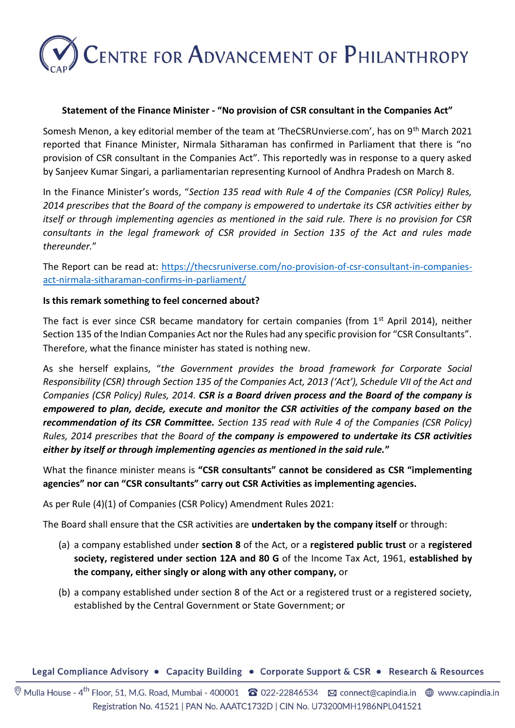# **CENTRE FOR ADVANCEMENT OF PHILANTHROPY**

#### **Statement of the Finance Minister - "No provision of CSR consultant in the Companies Act"**

Somesh Menon, a key editorial member of the team at 'TheCSRUnvierse.com', has on 9<sup>th</sup> March 2021 reported that Finance Minister, Nirmala Sitharaman has confirmed in Parliament that there is "no provision of CSR consultant in the Companies Act". This reportedly was in response to a query asked by Sanjeev Kumar Singari, a parliamentarian representing Kurnool of Andhra Pradesh on March 8.

In the Finance Minister's words, "*Section 135 read with Rule 4 of the Companies (CSR Policy) Rules, 2014 prescribes that the Board of the company is empowered to undertake its CSR activities either by itself or through implementing agencies as mentioned in the said rule. There is no provision for CSR consultants in the legal framework of CSR provided in Section 135 of the Act and rules made thereunder.*"

The Report can be read at: [https://thecsruniverse.com/no-provision-of-csr-consultant-in-companies](https://thecsruniverse.com/no-provision-of-csr-consultant-in-companies-act-nirmala-sitharaman-confirms-in-parliament/)[act-nirmala-sitharaman-confirms-in-parliament/](https://thecsruniverse.com/no-provision-of-csr-consultant-in-companies-act-nirmala-sitharaman-confirms-in-parliament/)

### **Is this remark something to feel concerned about?**

The fact is ever since CSR became mandatory for certain companies (from 1<sup>st</sup> April 2014), neither Section 135 of the Indian Companies Act nor the Rules had any specific provision for "CSR Consultants". Therefore, what the finance minister has stated is nothing new.

As she herself explains, "*the Government provides the broad framework for Corporate Social Responsibility (CSR) through Section 135 of the Companies Act, 2013 ('Act'), Schedule VII of the Act and Companies (CSR Policy) Rules, 2014. CSR is a Board driven process and the Board of the company is empowered to plan, decide, execute and monitor the CSR activities of the company based on the recommendation of its CSR Committee. Section 135 read with Rule 4 of the Companies (CSR Policy) Rules, 2014 prescribes that the Board of the company is empowered to undertake its CSR activities either by itself or through implementing agencies as mentioned in the said rule.***"**

What the finance minister means is **"CSR consultants" cannot be considered as CSR "implementing agencies" nor can "CSR consultants" carry out CSR Activities as implementing agencies.** 

As per Rule (4)(1) of Companies (CSR Policy) Amendment Rules 2021:

The Board shall ensure that the CSR activities are **undertaken by the company itself** or through:

- (a) a company established under **section 8** of the Act, or a **registered public trust** or a **registered society, registered under section 12A and 80 G** of the Income Tax Act, 1961, **established by the company, either singly or along with any other company,** or
- (b) a company established under section 8 of the Act or a registered trust or a registered society, established by the Central Government or State Government; or

Legal Compliance Advisory • Capacity Building • Corporate Support & CSR • Research & Resources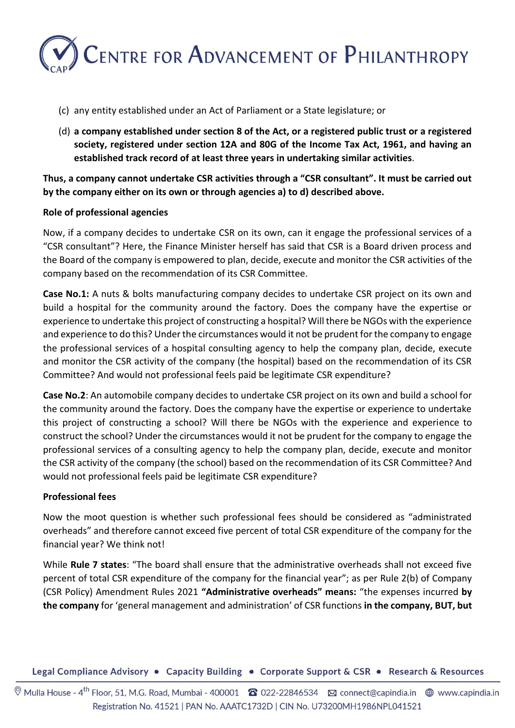

- (c) any entity established under an Act of Parliament or a State legislature; or
- (d) **a company established under section 8 of the Act, or a registered public trust or a registered society, registered under section 12A and 80G of the Income Tax Act, 1961, and having an established track record of at least three years in undertaking similar activities**.

**Thus, a company cannot undertake CSR activities through a "CSR consultant". It must be carried out by the company either on its own or through agencies a) to d) described above.**

### **Role of professional agencies**

Now, if a company decides to undertake CSR on its own, can it engage the professional services of a "CSR consultant"? Here, the Finance Minister herself has said that CSR is a Board driven process and the Board of the company is empowered to plan, decide, execute and monitor the CSR activities of the company based on the recommendation of its CSR Committee.

**Case No.1:** A nuts & bolts manufacturing company decides to undertake CSR project on its own and build a hospital for the community around the factory. Does the company have the expertise or experience to undertake this project of constructing a hospital? Will there be NGOs with the experience and experience to do this? Under the circumstances would it not be prudent for the company to engage the professional services of a hospital consulting agency to help the company plan, decide, execute and monitor the CSR activity of the company (the hospital) based on the recommendation of its CSR Committee? And would not professional feels paid be legitimate CSR expenditure?

**Case No.2**: An automobile company decides to undertake CSR project on its own and build a school for the community around the factory. Does the company have the expertise or experience to undertake this project of constructing a school? Will there be NGOs with the experience and experience to construct the school? Under the circumstances would it not be prudent for the company to engage the professional services of a consulting agency to help the company plan, decide, execute and monitor the CSR activity of the company (the school) based on the recommendation of its CSR Committee? And would not professional feels paid be legitimate CSR expenditure?

## **Professional fees**

Now the moot question is whether such professional fees should be considered as "administrated overheads" and therefore cannot exceed five percent of total CSR expenditure of the company for the financial year? We think not!

While **Rule 7 states**: "The board shall ensure that the administrative overheads shall not exceed five percent of total CSR expenditure of the company for the financial year"; as per Rule 2(b) of Company (CSR Policy) Amendment Rules 2021 **"Administrative overheads" means:** "the expenses incurred **by the company** for 'general management and administration' of CSR functions **in the company, BUT, but** 

Legal Compliance Advisory • Capacity Building • Corporate Support & CSR • Research & Resources